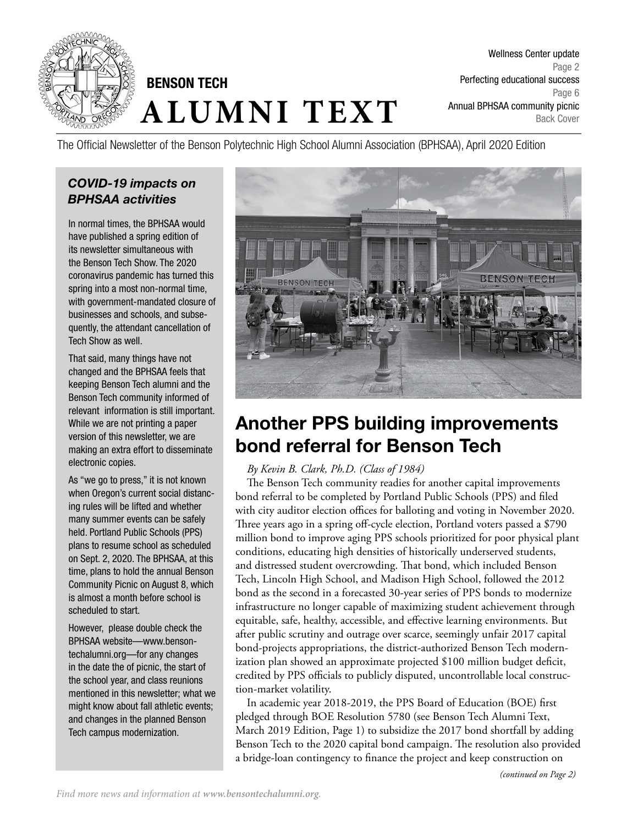

# **ALUMNI TEXT** BENSON TECH

Wellness Center update Page 2 Perfecting educational success Page 6 Annual BPHSAA community picnic Back Cover

The Official Newsletter of the Benson Polytechnic High School Alumni Association (BPHSAA), April 2020 Edition

## *COVID-19 impacts on BPHSAA activities*

In normal times, the BPHSAA would have published a spring edition of its newsletter simultaneous with the Benson Tech Show. The 2020 coronavirus pandemic has turned this spring into a most non-normal time, with government-mandated closure of businesses and schools, and subsequently, the attendant cancellation of Tech Show as well.

That said, many things have not changed and the BPHSAA feels that keeping Benson Tech alumni and the Benson Tech community informed of relevant information is still important. While we are not printing a paper version of this newsletter, we are making an extra effort to disseminate electronic copies.

As "we go to press," it is not known when Oregon's current social distancing rules will be lifted and whether many summer events can be safely held. Portland Public Schools (PPS) plans to resume school as scheduled on Sept. 2, 2020. The BPHSAA, at this time, plans to hold the annual Benson Community Picnic on August 8, which is almost a month before school is scheduled to start.

However, please double check the BPHSAA website—www.bensontechalumni.org—for any changes in the date the of picnic, the start of the school year, and class reunions mentioned in this newsletter; what we might know about fall athletic events; and changes in the planned Benson Tech campus modernization.



# Another PPS building improvements bond referral for Benson Tech

#### *By Kevin B. Clark, Ph.D. (Class of 1984)*

The Benson Tech community readies for another capital improvements bond referral to be completed by Portland Public Schools (PPS) and filed with city auditor election offices for balloting and voting in November 2020. Three years ago in a spring off-cycle election, Portland voters passed a \$790 million bond to improve aging PPS schools prioritized for poor physical plant conditions, educating high densities of historically underserved students, and distressed student overcrowding. That bond, which included Benson Tech, Lincoln High School, and Madison High School, followed the 2012 bond as the second in a forecasted 30-year series of PPS bonds to modernize infrastructure no longer capable of maximizing student achievement through equitable, safe, healthy, accessible, and effective learning environments. But after public scrutiny and outrage over scarce, seemingly unfair 2017 capital bond-projects appropriations, the district-authorized Benson Tech modernization plan showed an approximate projected \$100 million budget deficit, credited by PPS officials to publicly disputed, uncontrollable local construction-market volatility.

In academic year 2018-2019, the PPS Board of Education (BOE) first pledged through BOE Resolution 5780 (see Benson Tech Alumni Text, March 2019 Edition, Page 1) to subsidize the 2017 bond shortfall by adding Benson Tech to the 2020 capital bond campaign. The resolution also provided a bridge-loan contingency to finance the project and keep construction on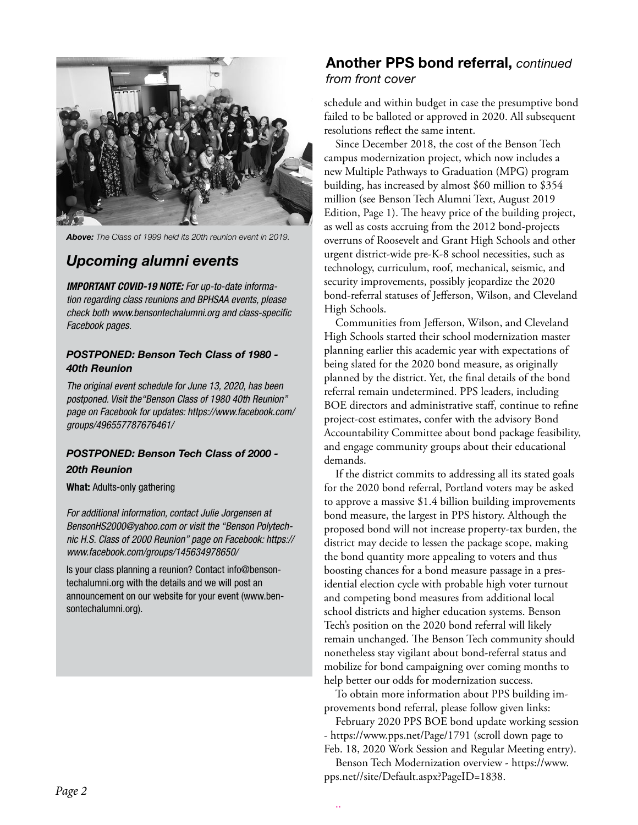

*Above: The Class of 1999 held its 20th reunion event in 2019.*

## *Upcoming alumni events*

*IMPORTANT COVID-19 NOTE: For up-to-date information regarding class reunions and BPHSAA events, please check both www.bensontechalumni.org and class-specific Facebook pages.* 

#### *POSTPONED: Benson Tech Class of 1980 - 40th Reunion*

*The original event schedule for June 13, 2020, has been postponed. Visit the"Benson Class of 1980 40th Reunion" page on Facebook for updates: https://www.facebook.com/ groups/496557787676461/*

#### *POSTPONED: Benson Tech Class of 2000 - 20th Reunion*

What: Adults-only gathering

*For additional information, contact Julie Jorgensen at BensonHS2000@yahoo.com or visit the "Benson Polytechnic H.S. Class of 2000 Reunion" page on Facebook: https:// www.facebook.com/groups/145634978650/*

Is your class planning a reunion? Contact info@bensontechalumni.org with the details and we will post an announcement on our website for your event (www.bensontechalumni.org).

#### Another PPS bond referral, *continued from front cover*

schedule and within budget in case the presumptive bond failed to be balloted or approved in 2020. All subsequent resolutions reflect the same intent.

Since December 2018, the cost of the Benson Tech campus modernization project, which now includes a new Multiple Pathways to Graduation (MPG) program building, has increased by almost \$60 million to \$354 million (see Benson Tech Alumni Text, August 2019 Edition, Page 1). The heavy price of the building project, as well as costs accruing from the 2012 bond-projects overruns of Roosevelt and Grant High Schools and other urgent district-wide pre-K-8 school necessities, such as technology, curriculum, roof, mechanical, seismic, and security improvements, possibly jeopardize the 2020 bond-referral statuses of Jefferson, Wilson, and Cleveland High Schools.

Communities from Jefferson, Wilson, and Cleveland High Schools started their school modernization master planning earlier this academic year with expectations of being slated for the 2020 bond measure, as originally planned by the district. Yet, the final details of the bond referral remain undetermined. PPS leaders, including BOE directors and administrative staff, continue to refine project-cost estimates, confer with the advisory Bond Accountability Committee about bond package feasibility, and engage community groups about their educational demands.

If the district commits to addressing all its stated goals for the 2020 bond referral, Portland voters may be asked to approve a massive \$1.4 billion building improvements bond measure, the largest in PPS history. Although the proposed bond will not increase property-tax burden, the district may decide to lessen the package scope, making the bond quantity more appealing to voters and thus boosting chances for a bond measure passage in a presidential election cycle with probable high voter turnout and competing bond measures from additional local school districts and higher education systems. Benson Tech's position on the 2020 bond referral will likely remain unchanged. The Benson Tech community should nonetheless stay vigilant about bond-referral status and mobilize for bond campaigning over coming months to help better our odds for modernization success.

To obtain more information about PPS building improvements bond referral, please follow given links:

February 2020 PPS BOE bond update working session - https://www.pps.net/Page/1791 (scroll down page to Feb. 18, 2020 Work Session and Regular Meeting entry).

Benson Tech Modernization overview - https://www. pps.net//site/Default.aspx?PageID=1838.

..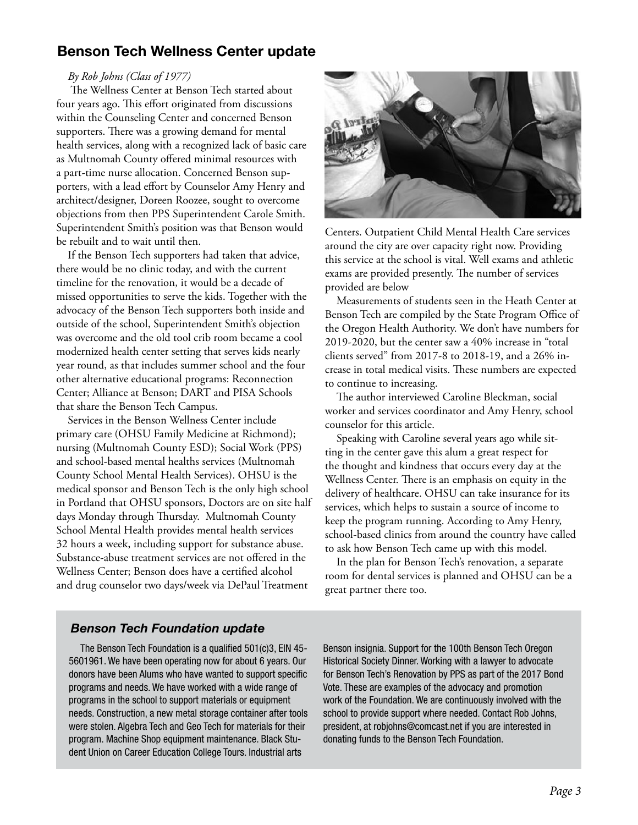# Benson Tech Wellness Center update

#### *By Rob Johns (Class of 1977)*

 The Wellness Center at Benson Tech started about four years ago. This effort originated from discussions within the Counseling Center and concerned Benson supporters. There was a growing demand for mental health services, along with a recognized lack of basic care as Multnomah County offered minimal resources with a part-time nurse allocation. Concerned Benson supporters, with a lead effort by Counselor Amy Henry and architect/designer, Doreen Roozee, sought to overcome objections from then PPS Superintendent Carole Smith. Superintendent Smith's position was that Benson would be rebuilt and to wait until then.

If the Benson Tech supporters had taken that advice, there would be no clinic today, and with the current timeline for the renovation, it would be a decade of missed opportunities to serve the kids. Together with the advocacy of the Benson Tech supporters both inside and outside of the school, Superintendent Smith's objection was overcome and the old tool crib room became a cool modernized health center setting that serves kids nearly year round, as that includes summer school and the four other alternative educational programs: Reconnection Center; Alliance at Benson; DART and PISA Schools that share the Benson Tech Campus.

Services in the Benson Wellness Center include primary care (OHSU Family Medicine at Richmond); nursing (Multnomah County ESD); Social Work (PPS) and school-based mental healths services (Multnomah County School Mental Health Services). OHSU is the medical sponsor and Benson Tech is the only high school in Portland that OHSU sponsors, Doctors are on site half days Monday through Thursday. Multnomah County School Mental Health provides mental health services 32 hours a week, including support for substance abuse. Substance-abuse treatment services are not offered in the Wellness Center; Benson does have a certified alcohol and drug counselor two days/week via DePaul Treatment



Centers. Outpatient Child Mental Health Care services around the city are over capacity right now. Providing this service at the school is vital. Well exams and athletic exams are provided presently. The number of services provided are below

Measurements of students seen in the Heath Center at Benson Tech are compiled by the State Program Office of the Oregon Health Authority. We don't have numbers for 2019-2020, but the center saw a 40% increase in "total clients served" from 2017-8 to 2018-19, and a 26% increase in total medical visits. These numbers are expected to continue to increasing.

The author interviewed Caroline Bleckman, social worker and services coordinator and Amy Henry, school counselor for this article.

Speaking with Caroline several years ago while sitting in the center gave this alum a great respect for the thought and kindness that occurs every day at the Wellness Center. There is an emphasis on equity in the delivery of healthcare. OHSU can take insurance for its services, which helps to sustain a source of income to keep the program running. According to Amy Henry, school-based clinics from around the country have called to ask how Benson Tech came up with this model.

In the plan for Benson Tech's renovation, a separate room for dental services is planned and OHSU can be a great partner there too.

#### *Benson Tech Foundation update*

The Benson Tech Foundation is a qualified 501(c)3, EIN 45- 5601961. We have been operating now for about 6 years. Our donors have been Alums who have wanted to support specific programs and needs. We have worked with a wide range of programs in the school to support materials or equipment needs. Construction, a new metal storage container after tools were stolen. Algebra Tech and Geo Tech for materials for their program. Machine Shop equipment maintenance. Black Student Union on Career Education College Tours. Industrial arts

Benson insignia. Support for the 100th Benson Tech Oregon Historical Society Dinner. Working with a lawyer to advocate for Benson Tech's Renovation by PPS as part of the 2017 Bond Vote. These are examples of the advocacy and promotion work of the Foundation. We are continuously involved with the school to provide support where needed. Contact Rob Johns, president, at robjohns@comcast.net if you are interested in donating funds to the Benson Tech Foundation.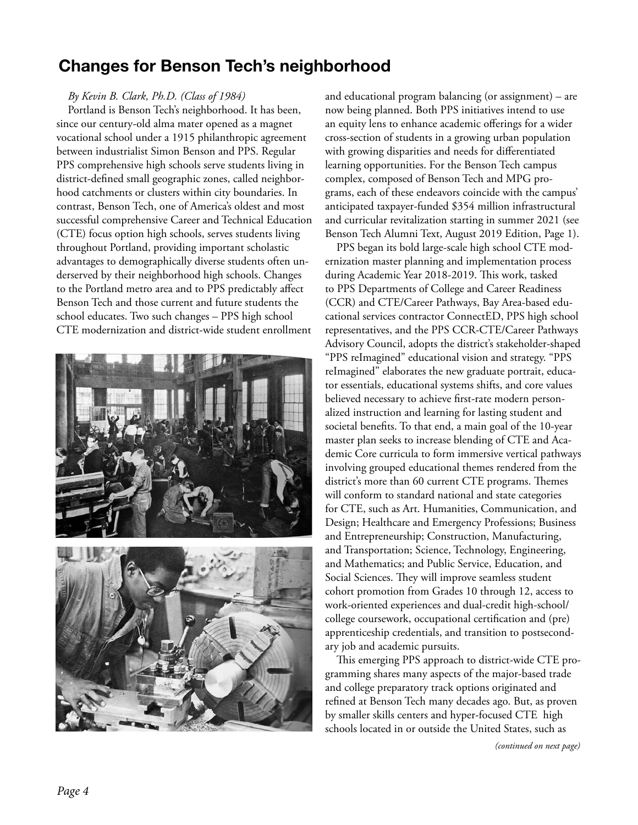# Changes for Benson Tech's neighborhood

#### *By Kevin B. Clark, Ph.D. (Class of 1984)*

Portland is Benson Tech's neighborhood. It has been, since our century-old alma mater opened as a magnet vocational school under a 1915 philanthropic agreement between industrialist Simon Benson and PPS. Regular PPS comprehensive high schools serve students living in district-defined small geographic zones, called neighborhood catchments or clusters within city boundaries. In contrast, Benson Tech, one of America's oldest and most successful comprehensive Career and Technical Education (CTE) focus option high schools, serves students living throughout Portland, providing important scholastic advantages to demographically diverse students often underserved by their neighborhood high schools. Changes to the Portland metro area and to PPS predictably affect Benson Tech and those current and future students the school educates. Two such changes – PPS high school CTE modernization and district-wide student enrollment

![](_page_3_Picture_3.jpeg)

![](_page_3_Picture_4.jpeg)

and educational program balancing (or assignment) – are now being planned. Both PPS initiatives intend to use an equity lens to enhance academic offerings for a wider cross-section of students in a growing urban population with growing disparities and needs for differentiated learning opportunities. For the Benson Tech campus complex, composed of Benson Tech and MPG programs, each of these endeavors coincide with the campus' anticipated taxpayer-funded \$354 million infrastructural and curricular revitalization starting in summer 2021 (see Benson Tech Alumni Text, August 2019 Edition, Page 1).

PPS began its bold large-scale high school CTE modernization master planning and implementation process during Academic Year 2018-2019. This work, tasked to PPS Departments of College and Career Readiness (CCR) and CTE/Career Pathways, Bay Area-based educational services contractor ConnectED, PPS high school representatives, and the PPS CCR-CTE/Career Pathways Advisory Council, adopts the district's stakeholder-shaped "PPS reImagined" educational vision and strategy. "PPS reImagined" elaborates the new graduate portrait, educator essentials, educational systems shifts, and core values believed necessary to achieve first-rate modern personalized instruction and learning for lasting student and societal benefits. To that end, a main goal of the 10-year master plan seeks to increase blending of CTE and Academic Core curricula to form immersive vertical pathways involving grouped educational themes rendered from the district's more than 60 current CTE programs. Themes will conform to standard national and state categories for CTE, such as Art. Humanities, Communication, and Design; Healthcare and Emergency Professions; Business and Entrepreneurship; Construction, Manufacturing, and Transportation; Science, Technology, Engineering, and Mathematics; and Public Service, Education, and Social Sciences. They will improve seamless student cohort promotion from Grades 10 through 12, access to work-oriented experiences and dual-credit high-school/ college coursework, occupational certification and (pre) apprenticeship credentials, and transition to postsecondary job and academic pursuits.

This emerging PPS approach to district-wide CTE programming shares many aspects of the major-based trade and college preparatory track options originated and refined at Benson Tech many decades ago. But, as proven by smaller skills centers and hyper-focused CTE high schools located in or outside the United States, such as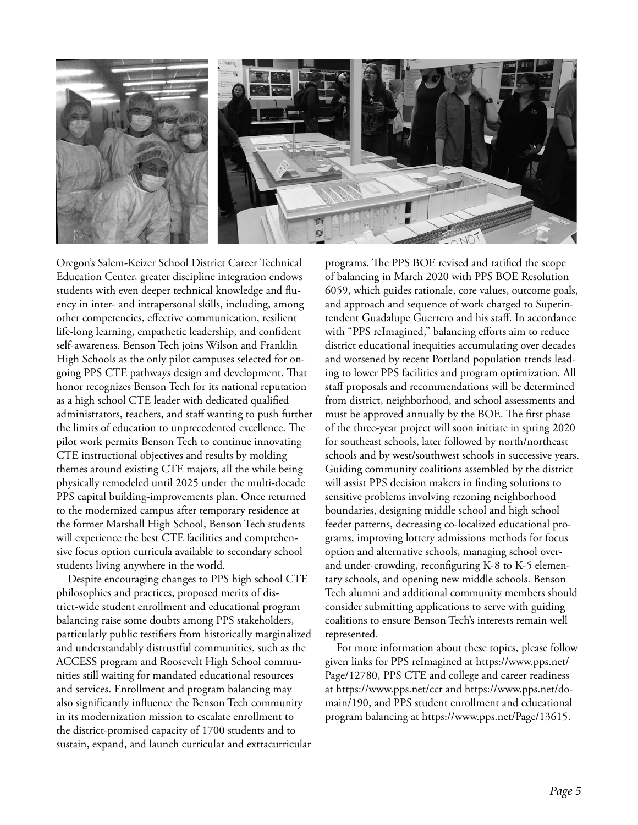![](_page_4_Picture_0.jpeg)

Oregon's Salem-Keizer School District Career Technical Education Center, greater discipline integration endows students with even deeper technical knowledge and fluency in inter- and intrapersonal skills, including, among other competencies, effective communication, resilient life-long learning, empathetic leadership, and confident self-awareness. Benson Tech joins Wilson and Franklin High Schools as the only pilot campuses selected for ongoing PPS CTE pathways design and development. That honor recognizes Benson Tech for its national reputation as a high school CTE leader with dedicated qualified administrators, teachers, and staff wanting to push further the limits of education to unprecedented excellence. The pilot work permits Benson Tech to continue innovating CTE instructional objectives and results by molding themes around existing CTE majors, all the while being physically remodeled until 2025 under the multi-decade PPS capital building-improvements plan. Once returned to the modernized campus after temporary residence at the former Marshall High School, Benson Tech students will experience the best CTE facilities and comprehensive focus option curricula available to secondary school students living anywhere in the world.

Despite encouraging changes to PPS high school CTE philosophies and practices, proposed merits of district-wide student enrollment and educational program balancing raise some doubts among PPS stakeholders, particularly public testifiers from historically marginalized and understandably distrustful communities, such as the ACCESS program and Roosevelt High School communities still waiting for mandated educational resources and services. Enrollment and program balancing may also significantly influence the Benson Tech community in its modernization mission to escalate enrollment to the district-promised capacity of 1700 students and to sustain, expand, and launch curricular and extracurricular

programs. The PPS BOE revised and ratified the scope of balancing in March 2020 with PPS BOE Resolution 6059, which guides rationale, core values, outcome goals, and approach and sequence of work charged to Superintendent Guadalupe Guerrero and his staff. In accordance with "PPS reImagined," balancing efforts aim to reduce district educational inequities accumulating over decades and worsened by recent Portland population trends leading to lower PPS facilities and program optimization. All staff proposals and recommendations will be determined from district, neighborhood, and school assessments and must be approved annually by the BOE. The first phase of the three-year project will soon initiate in spring 2020 for southeast schools, later followed by north/northeast schools and by west/southwest schools in successive years. Guiding community coalitions assembled by the district will assist PPS decision makers in finding solutions to sensitive problems involving rezoning neighborhood boundaries, designing middle school and high school feeder patterns, decreasing co-localized educational programs, improving lottery admissions methods for focus option and alternative schools, managing school overand under-crowding, reconfiguring K-8 to K-5 elementary schools, and opening new middle schools. Benson Tech alumni and additional community members should consider submitting applications to serve with guiding coalitions to ensure Benson Tech's interests remain well represented.

For more information about these topics, please follow given links for PPS reImagined at https://www.pps.net/ Page/12780, PPS CTE and college and career readiness at https://www.pps.net/ccr and https://www.pps.net/domain/190, and PPS student enrollment and educational program balancing at https://www.pps.net/Page/13615.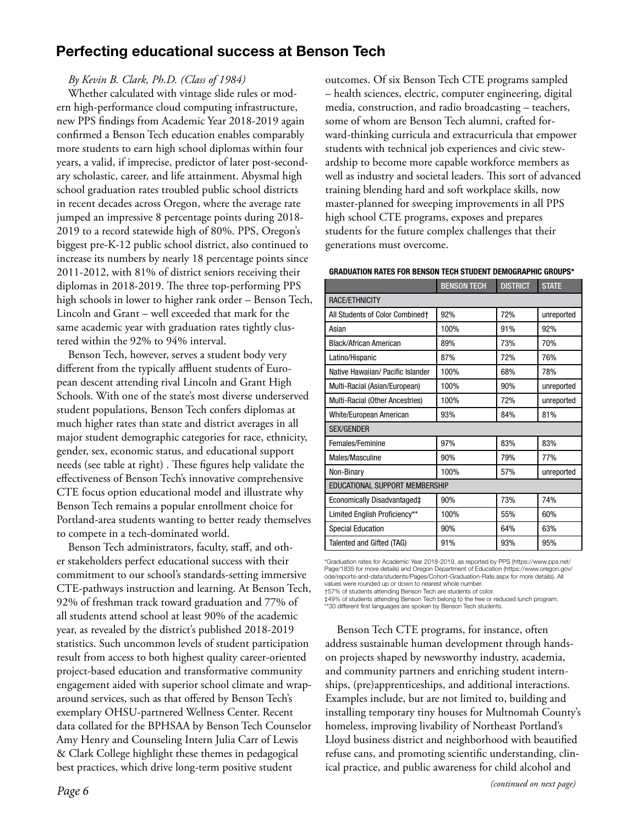# Perfecting educational success at Benson Tech

#### *By Kevin B. Clark, Ph.D. (Class of 1984)*

Whether calculated with vintage slide rules or modern high-performance cloud computing infrastructure, new PPS findings from Academic Year 2018-2019 again confirmed a Benson Tech education enables comparably more students to earn high school diplomas within four years, a valid, if imprecise, predictor of later post-secondary scholastic, career, and life attainment. Abysmal high school graduation rates troubled public school districts in recent decades across Oregon, where the average rate jumped an impressive 8 percentage points during 2018- 2019 to a record statewide high of 80%. PPS, Oregon's biggest pre-K-12 public school district, also continued to increase its numbers by nearly 18 percentage points since 2011-2012, with 81% of district seniors receiving their diplomas in 2018-2019. The three top-performing PPS high schools in lower to higher rank order – Benson Tech, Lincoln and Grant – well exceeded that mark for the same academic year with graduation rates tightly clustered within the 92% to 94% interval.

Benson Tech, however, serves a student body very different from the typically affluent students of European descent attending rival Lincoln and Grant High Schools. With one of the state's most diverse underserved student populations, Benson Tech confers diplomas at much higher rates than state and district averages in all major student demographic categories for race, ethnicity, gender, sex, economic status, and educational support needs (see table at right) . These figures help validate the effectiveness of Benson Tech's innovative comprehensive CTE focus option educational model and illustrate why Benson Tech remains a popular enrollment choice for Portland-area students wanting to better ready themselves to compete in a tech-dominated world.

Benson Tech administrators, faculty, staff, and other stakeholders perfect educational success with their commitment to our school's standards-setting immersive CTE-pathways instruction and learning. At Benson Tech, 92% of freshman track toward graduation and 77% of all students attend school at least 90% of the academic year, as revealed by the district's published 2018-2019 statistics. Such uncommon levels of student participation result from access to both highest quality career-oriented project-based education and transformative community engagement aided with superior school climate and wraparound services, such as that offered by Benson Tech's exemplary OHSU-partnered Wellness Center. Recent data collated for the BPHSAA by Benson Tech Counselor Amy Henry and Counseling Intern Julia Carr of Lewis & Clark College highlight these themes in pedagogical best practices, which drive long-term positive student

outcomes. Of six Benson Tech CTE programs sampled – health sciences, electric, computer engineering, digital media, construction, and radio broadcasting – teachers, some of whom are Benson Tech alumni, crafted forward-thinking curricula and extracurricula that empower students with technical job experiences and civic stewardship to become more capable workforce members as well as industry and societal leaders. This sort of advanced training blending hard and soft workplace skills, now master-planned for sweeping improvements in all PPS high school CTE programs, exposes and prepares students for the future complex challenges that their generations must overcome.

GRADUATION RATES FOR BENSON TECH STUDENT DEMOGRAPHIC GROUPS\*

|                                   | <b>BENSON TECH</b> | <b>DISTRICT</b> | <b>STATE</b> |
|-----------------------------------|--------------------|-----------------|--------------|
| RACE/ETHNICITY                    |                    |                 |              |
| All Students of Color Combined†   | 92%                | 72%             | unreported   |
| Asian                             | 100%               | 91%             | 92%          |
| Black/African American            | 89%                | 73%             | 70%          |
| Latino/Hispanic                   | 87%                | 72%             | 76%          |
| Native Hawaiian/ Pacific Islander | 100%               | 68%             | 78%          |
| Multi-Racial (Asian/European)     | 100%               | 90%             | unreported   |
| Multi-Racial (Other Ancestries)   | 100%               | 72%             | unreported   |
| White/European American           | 93%                | 84%             | 81%          |
| <b>SEX/GENDER</b>                 |                    |                 |              |
| Females/Feminine                  | 97%                | 83%             | 83%          |
| Males/Masculine                   | 90%                | 79%             | 77%          |
| Non-Binary                        | 100%               | 57%             | unreported   |
| EDUCATIONAL SUPPORT MEMBERSHIP    |                    |                 |              |
| Economically Disadvantaged‡       | 90%                | 73%             | 74%          |
| Limited English Proficiency**     | 100%               | 55%             | 60%          |
| <b>Special Education</b>          | 90%                | 64%             | 63%          |
| Talented and Gifted (TAG)         | 91%                | 93%             | 95%          |

\*Graduation rates for Academic Year 2018-2019, as reported by PPS (https://www.pps.net/ Page/1835 for more details) and Oregon Department of Education (https://www.oregon.gov/ ode/reports-and-data/students/Pages/Cohort-Graduation-Rate.aspx for more details). All values were rounded up or down to nearest whole number.

†57% of students attending Benson Tech are students of color.

‡49% of students attending Benson Tech belong to the free or reduced lunch program. \*\*30 different first languages are spoken by Benson Tech students.

Benson Tech CTE programs, for instance, often address sustainable human development through handson projects shaped by newsworthy industry, academia, and community partners and enriching student internships, (pre)apprenticeships, and additional interactions. Examples include, but are not limited to, building and installing temporary tiny houses for Multnomah County's homeless, improving livability of Northeast Portland's Lloyd business district and neighborhood with beautified refuse cans, and promoting scientific understanding, clinical practice, and public awareness for child alcohol and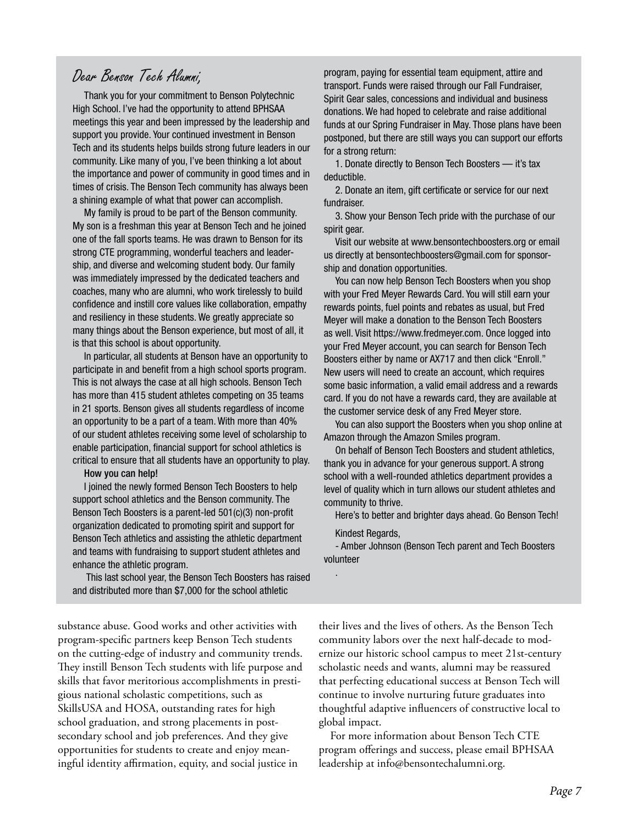# Dear Benson Tech Alumni,

Thank you for your commitment to Benson Polytechnic High School. I've had the opportunity to attend BPHSAA meetings this year and been impressed by the leadership and support you provide. Your continued investment in Benson Tech and its students helps builds strong future leaders in our community. Like many of you, I've been thinking a lot about the importance and power of community in good times and in times of crisis. The Benson Tech community has always been a shining example of what that power can accomplish.

My family is proud to be part of the Benson community. My son is a freshman this year at Benson Tech and he joined one of the fall sports teams. He was drawn to Benson for its strong CTE programming, wonderful teachers and leadership, and diverse and welcoming student body. Our family was immediately impressed by the dedicated teachers and coaches, many who are alumni, who work tirelessly to build confidence and instill core values like collaboration, empathy and resiliency in these students. We greatly appreciate so many things about the Benson experience, but most of all, it is that this school is about opportunity.

In particular, all students at Benson have an opportunity to participate in and benefit from a high school sports program. This is not always the case at all high schools. Benson Tech has more than 415 student athletes competing on 35 teams in 21 sports. Benson gives all students regardless of income an opportunity to be a part of a team. With more than 40% of our student athletes receiving some level of scholarship to enable participation, financial support for school athletics is critical to ensure that all students have an opportunity to play.

How you can help!

I joined the newly formed Benson Tech Boosters to help support school athletics and the Benson community. The Benson Tech Boosters is a parent-led 501(c)(3) non-profit organization dedicated to promoting spirit and support for Benson Tech athletics and assisting the athletic department and teams with fundraising to support student athletes and enhance the athletic program.

 This last school year, the Benson Tech Boosters has raised and distributed more than \$7,000 for the school athletic

program, paying for essential team equipment, attire and transport. Funds were raised through our Fall Fundraiser, Spirit Gear sales, concessions and individual and business donations. We had hoped to celebrate and raise additional funds at our Spring Fundraiser in May. Those plans have been postponed, but there are still ways you can support our efforts for a strong return:

1. Donate directly to Benson Tech Boosters — it's tax deductible.

2. Donate an item, gift certificate or service for our next fundraiser.

3. Show your Benson Tech pride with the purchase of our spirit gear.

Visit our website at www.bensontechboosters.org or email us directly at bensontechboosters@gmail.com for sponsorship and donation opportunities.

You can now help Benson Tech Boosters when you shop with your Fred Meyer Rewards Card. You will still earn your rewards points, fuel points and rebates as usual, but Fred Meyer will make a donation to the Benson Tech Boosters as well. Visit https://www.fredmeyer.com. Once logged into your Fred Meyer account, you can search for Benson Tech Boosters either by name or AX717 and then click "Enroll." New users will need to create an account, which requires some basic information, a valid email address and a rewards card. If you do not have a rewards card, they are available at the customer service desk of any Fred Meyer store.

You can also support the Boosters when you shop online at Amazon through the Amazon Smiles program.

On behalf of Benson Tech Boosters and student athletics, thank you in advance for your generous support. A strong school with a well-rounded athletics department provides a level of quality which in turn allows our student athletes and community to thrive.

Here's to better and brighter days ahead. Go Benson Tech! Kindest Regards,

- Amber Johnson (Benson Tech parent and Tech Boosters volunteer

.

substance abuse. Good works and other activities with program-specific partners keep Benson Tech students on the cutting-edge of industry and community trends. They instill Benson Tech students with life purpose and skills that favor meritorious accomplishments in prestigious national scholastic competitions, such as SkillsUSA and HOSA, outstanding rates for high school graduation, and strong placements in postsecondary school and job preferences. And they give opportunities for students to create and enjoy meaningful identity affirmation, equity, and social justice in

their lives and the lives of others. As the Benson Tech community labors over the next half-decade to modernize our historic school campus to meet 21st-century scholastic needs and wants, alumni may be reassured that perfecting educational success at Benson Tech will continue to involve nurturing future graduates into thoughtful adaptive influencers of constructive local to global impact.

For more information about Benson Tech CTE program offerings and success, please email BPHSAA leadership at info@bensontechalumni.org.